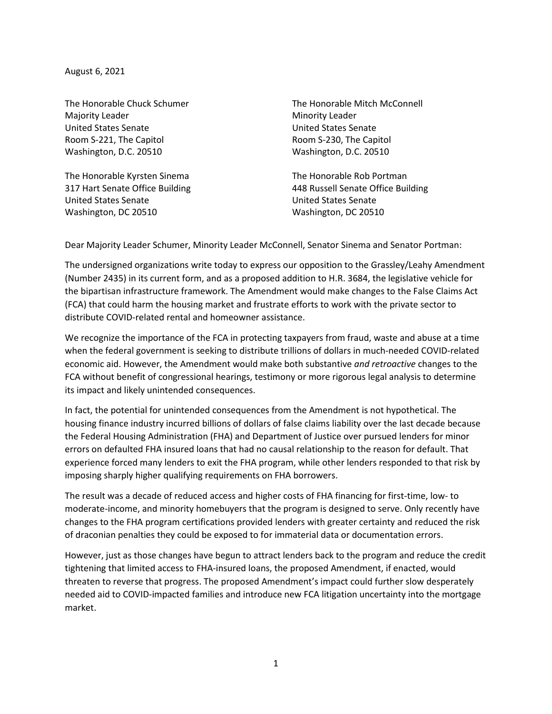August 6, 2021

Majority Leader **Minority Leader** Minority Leader United States Senate United States Senate Room S-221, The Capitol **Room S-230**, The Capitol Washington, D.C. 20510 Washington, D.C. 20510

The Honorable Kyrsten Sinema The Honorable Rob Portman United States Senate United States Senate Washington, DC 20510 Washington, DC 20510

The Honorable Chuck Schumer The Honorable Mitch McConnell

317 Hart Senate Office Building 448 Russell Senate Office Building

Dear Majority Leader Schumer, Minority Leader McConnell, Senator Sinema and Senator Portman:

The undersigned organizations write today to express our opposition to the Grassley/Leahy Amendment (Number 2435) in its current form, and as a proposed addition to H.R. 3684, the legislative vehicle for the bipartisan infrastructure framework. The Amendment would make changes to the False Claims Act (FCA) that could harm the housing market and frustrate efforts to work with the private sector to distribute COVID-related rental and homeowner assistance.

We recognize the importance of the FCA in protecting taxpayers from fraud, waste and abuse at a time when the federal government is seeking to distribute trillions of dollars in much-needed COVID-related economic aid. However, the Amendment would make both substantive *and retroactive* changes to the FCA without benefit of congressional hearings, testimony or more rigorous legal analysis to determine its impact and likely unintended consequences.

In fact, the potential for unintended consequences from the Amendment is not hypothetical. The housing finance industry incurred billions of dollars of false claims liability over the last decade because the Federal Housing Administration (FHA) and Department of Justice over pursued lenders for minor errors on defaulted FHA insured loans that had no causal relationship to the reason for default. That experience forced many lenders to exit the FHA program, while other lenders responded to that risk by imposing sharply higher qualifying requirements on FHA borrowers.

The result was a decade of reduced access and higher costs of FHA financing for first-time, low- to moderate-income, and minority homebuyers that the program is designed to serve. Only recently have changes to the FHA program certifications provided lenders with greater certainty and reduced the risk of draconian penalties they could be exposed to for immaterial data or documentation errors.

However, just as those changes have begun to attract lenders back to the program and reduce the credit tightening that limited access to FHA-insured loans, the proposed Amendment, if enacted, would threaten to reverse that progress. The proposed Amendment's impact could further slow desperately needed aid to COVID-impacted families and introduce new FCA litigation uncertainty into the mortgage market.